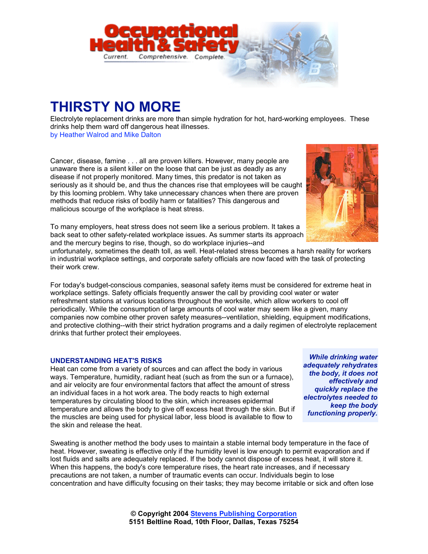

## **THIRSTY NO MORE**

Electrolyte replacement drinks are more than simple hydration for hot, hard-working employees. These drinks help them ward off dangerous heat illnesses. by Heather Walrod and Mike Dalton

Cancer, disease, famine . . . all are proven killers. However, many people are unaware there is a silent killer on the loose that can be just as deadly as any disease if not properly monitored. Many times, this predator is not taken as seriously as it should be, and thus the chances rise that employees will be caught by this looming problem. Why take unnecessary chances when there are proven methods that reduce risks of bodily harm or fatalities? This dangerous and malicious scourge of the workplace is heat stress.

To many employers, heat stress does not seem like a serious problem. It takes a back seat to other safety-related workplace issues. As summer starts its approach and the mercury begins to rise, though, so do workplace injuries--and

unfortunately, sometimes the death toll, as well. Heat-related stress becomes a harsh reality for workers in industrial workplace settings, and corporate safety officials are now faced with the task of protecting their work crew.

For today's budget-conscious companies, seasonal safety items must be considered for extreme heat in workplace settings. Safety officials frequently answer the call by providing cool water or water refreshment stations at various locations throughout the worksite, which allow workers to cool off periodically. While the consumption of large amounts of cool water may seem like a given, many companies now combine other proven safety measures--ventilation, shielding, equipment modifications, and protective clothing--with their strict hydration programs and a daily regimen of electrolyte replacement drinks that further protect their employees.

## **UNDERSTANDING HEAT'S RISKS**

Heat can come from a variety of sources and can affect the body in various ways. Temperature, humidity, radiant heat (such as from the sun or a furnace), and air velocity are four environmental factors that affect the amount of stress an individual faces in a hot work area. The body reacts to high external temperatures by circulating blood to the skin, which increases epidermal temperature and allows the body to give off excess heat through the skin. But if the muscles are being used for physical labor, less blood is available to flow to the skin and release the heat.

Sweating is another method the body uses to maintain a stable internal body temperature in the face of heat. However, sweating is effective only if the humidity level is low enough to permit evaporation and if lost fluids and salts are adequately replaced. If the body cannot dispose of excess heat, it will store it. When this happens, the body's core temperature rises, the heart rate increases, and if necessary precautions are not taken, a number of traumatic events can occur. Individuals begin to lose concentration and have difficulty focusing on their tasks; they may become irritable or sick and often lose

> **© Copyright 2004 Stevens Publishing Corporation 5151 Beltline Road, 10th Floor, Dallas, Texas 75254**



*While drinking water adequately rehydrates the body, it does not effectively and quickly replace the electrolytes needed to keep the body functioning properly.*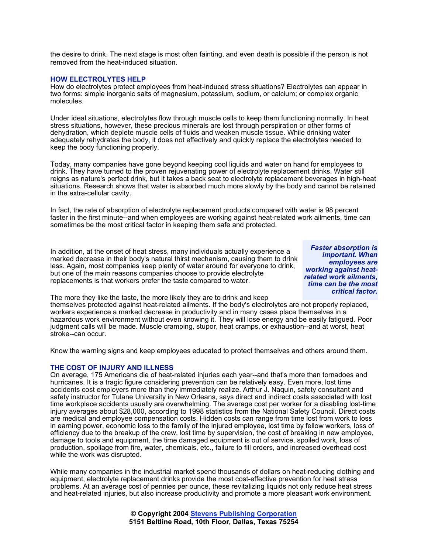the desire to drink. The next stage is most often fainting, and even death is possible if the person is not removed from the heat-induced situation.

## **HOW ELECTROLYTES HELP**

How do electrolytes protect employees from heat-induced stress situations? Electrolytes can appear in two forms: simple inorganic salts of magnesium, potassium, sodium, or calcium; or complex organic molecules.

Under ideal situations, electrolytes flow through muscle cells to keep them functioning normally. In heat stress situations, however, these precious minerals are lost through perspiration or other forms of dehydration, which deplete muscle cells of fluids and weaken muscle tissue. While drinking water adequately rehydrates the body, it does not effectively and quickly replace the electrolytes needed to keep the body functioning properly.

Today, many companies have gone beyond keeping cool liquids and water on hand for employees to drink. They have turned to the proven rejuvenating power of electrolyte replacement drinks. Water still reigns as nature's perfect drink, but it takes a back seat to electrolyte replacement beverages in high-heat situations. Research shows that water is absorbed much more slowly by the body and cannot be retained in the extra-cellular cavity.

In fact, the rate of absorption of electrolyte replacement products compared with water is 98 percent faster in the first minute--and when employees are working against heat-related work ailments, time can sometimes be the most critical factor in keeping them safe and protected.

In addition, at the onset of heat stress, many individuals actually experience a marked decrease in their body's natural thirst mechanism, causing them to drink less. Again, most companies keep plenty of water around for everyone to drink, but one of the main reasons companies choose to provide electrolyte replacements is that workers prefer the taste compared to water.

*Faster absorption is important. When employees are working against heatrelated work ailments, time can be the most critical factor.*

The more they like the taste, the more likely they are to drink and keep

themselves protected against heat-related ailments. If the body's electrolytes are not properly replaced, workers experience a marked decrease in productivity and in many cases place themselves in a hazardous work environment without even knowing it. They will lose energy and be easily fatigued. Poor judgment calls will be made. Muscle cramping, stupor, heat cramps, or exhaustion--and at worst, heat stroke--can occur.

Know the warning signs and keep employees educated to protect themselves and others around them.

## **THE COST OF INJURY AND ILLNESS**

On average, 175 Americans die of heat-related injuries each year--and that's more than tornadoes and hurricanes. It is a tragic figure considering prevention can be relatively easy. Even more, lost time accidents cost employers more than they immediately realize. Arthur J. Naquin, safety consultant and safety instructor for Tulane University in New Orleans, says direct and indirect costs associated with lost time workplace accidents usually are overwhelming. The average cost per worker for a disabling lost-time injury averages about \$28,000, according to 1998 statistics from the National Safety Council. Direct costs are medical and employee compensation costs. Hidden costs can range from time lost from work to loss in earning power, economic loss to the family of the injured employee, lost time by fellow workers, loss of efficiency due to the breakup of the crew, lost time by supervision, the cost of breaking in new employee, damage to tools and equipment, the time damaged equipment is out of service, spoiled work, loss of production, spoilage from fire, water, chemicals, etc., failure to fill orders, and increased overhead cost while the work was disrupted.

While many companies in the industrial market spend thousands of dollars on heat-reducing clothing and equipment, electrolyte replacement drinks provide the most cost-effective prevention for heat stress problems. At an average cost of pennies per ounce, these revitalizing liquids not only reduce heat stress and heat-related injuries, but also increase productivity and promote a more pleasant work environment.

> **© Copyright 2004 Stevens Publishing Corporation 5151 Beltline Road, 10th Floor, Dallas, Texas 75254**